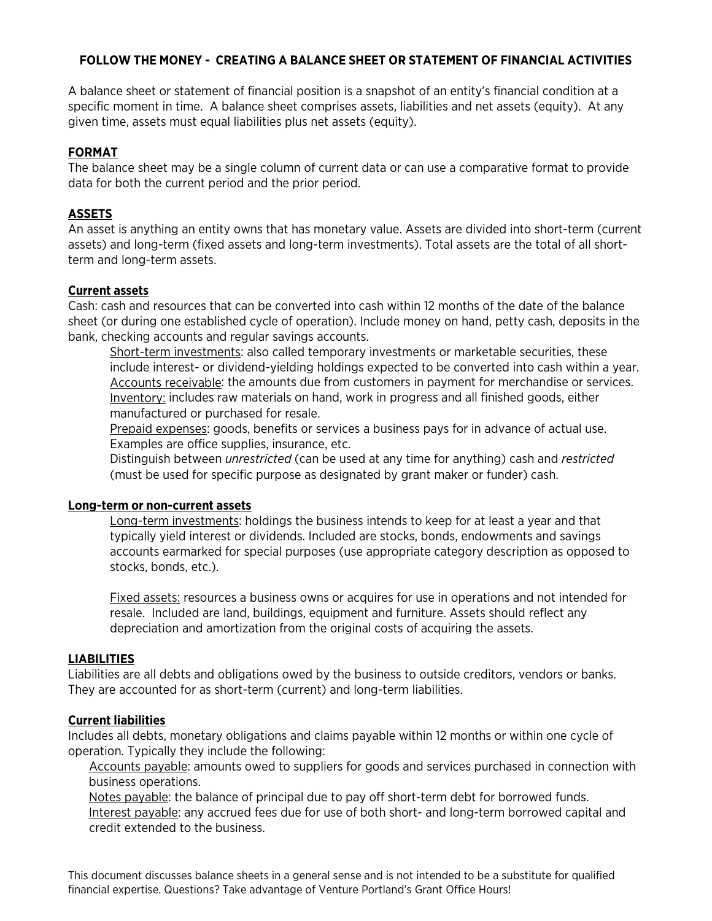## **FOLLOW THE MONEY - CREATING A BALANCE SHEET OR STATEMENT OF FINANCIAL ACTIVITIES**

A balance sheet or statement of financial position is a snapshot of an entity's financial condition at a specific moment in time. A balance sheet comprises assets, liabilities and net assets (equity). At any given time, assets must equal liabilities plus net assets (equity).

## **FORMAT**

The balance sheet may be a single column of current data or can use a comparative format to provide data for both the current period and the prior period.

# **ASSETS**

An asset is anything an entity owns that has monetary value. Assets are divided into short-term (current assets) and long-term (fixed assets and long-term investments). Total assets are the total of all shortterm and long-term assets.

## **Current assets**

Cash: cash and resources that can be converted into cash within 12 months of the date of the balance sheet (or during one established cycle of operation). Include money on hand, petty cash, deposits in the bank, checking accounts and regular savings accounts.

Short-term investments: also called temporary investments or marketable securities, these include interest- or dividend-yielding holdings expected to be converted into cash within a year. Accounts receivable: the amounts due from customers in payment for merchandise or services. Inventory: includes raw materials on hand, work in progress and all finished goods, either manufactured or purchased for resale.

Prepaid expenses: goods, benefits or services a business pays for in advance of actual use. Examples are office supplies, insurance, etc.

Distinguish between *unrestricted* (can be used at any time for anything) cash and *restricted* (must be used for specific purpose as designated by grant maker or funder) cash.

## **Long-term or non-current assets**

Long-term investments: holdings the business intends to keep for at least a year and that typically yield interest or dividends. Included are stocks, bonds, endowments and savings accounts earmarked for special purposes (use appropriate category description as opposed to stocks, bonds, etc.).

Fixed assets: resources a business owns or acquires for use in operations and not intended for resale. Included are land, buildings, equipment and furniture. Assets should reflect any depreciation and amortization from the original costs of acquiring the assets.

## **LIABILITIES**

Liabilities are all debts and obligations owed by the business to outside creditors, vendors or banks. They are accounted for as short-term (current) and long-term liabilities.

## **Current liabilities**

Includes all debts, monetary obligations and claims payable within 12 months or within one cycle of operation. Typically they include the following:

Accounts payable: amounts owed to suppliers for goods and services purchased in connection with business operations.

Notes payable: the balance of principal due to pay off short-term debt for borrowed funds. Interest payable: any accrued fees due for use of both short- and long-term borrowed capital and credit extended to the business.